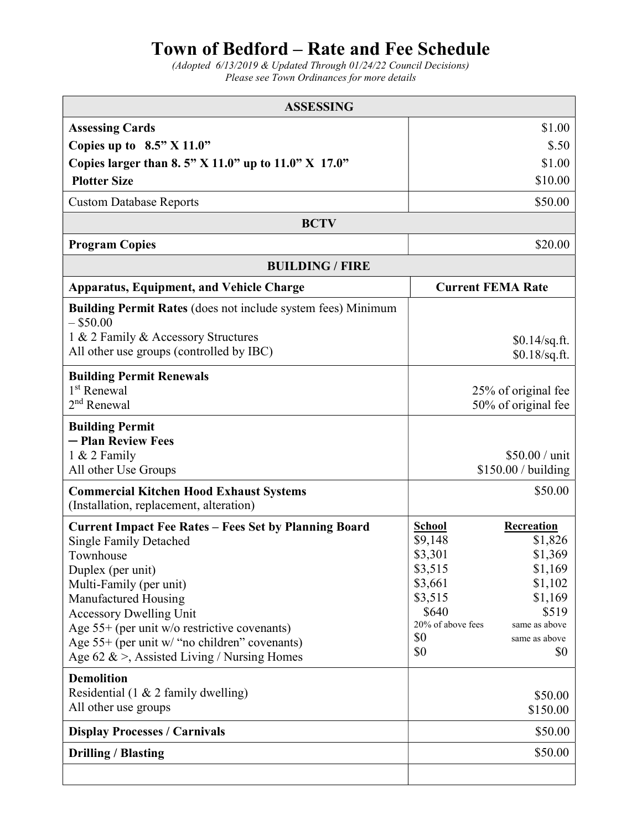## Town of Bedford – Rate and Fee Schedule

(Adopted 6/13/2019 & Updated Through 01/24/22 Council Decisions) Please see Town Ordinances for more details

| <b>ASSESSING</b>                                                                                                                                                                                                                                                                                                                                                         |                                                                                                                  |                                                                                                                     |
|--------------------------------------------------------------------------------------------------------------------------------------------------------------------------------------------------------------------------------------------------------------------------------------------------------------------------------------------------------------------------|------------------------------------------------------------------------------------------------------------------|---------------------------------------------------------------------------------------------------------------------|
| <b>Assessing Cards</b>                                                                                                                                                                                                                                                                                                                                                   |                                                                                                                  | \$1.00                                                                                                              |
| Copies up to $8.5$ " X 11.0"                                                                                                                                                                                                                                                                                                                                             |                                                                                                                  | \$.50                                                                                                               |
| Copies larger than 8.5" X 11.0" up to $11.0$ " X 17.0"                                                                                                                                                                                                                                                                                                                   |                                                                                                                  | \$1.00                                                                                                              |
| <b>Plotter Size</b>                                                                                                                                                                                                                                                                                                                                                      |                                                                                                                  | \$10.00                                                                                                             |
| <b>Custom Database Reports</b>                                                                                                                                                                                                                                                                                                                                           |                                                                                                                  | \$50.00                                                                                                             |
| <b>BCTV</b>                                                                                                                                                                                                                                                                                                                                                              |                                                                                                                  |                                                                                                                     |
| <b>Program Copies</b>                                                                                                                                                                                                                                                                                                                                                    |                                                                                                                  | \$20.00                                                                                                             |
| <b>BUILDING / FIRE</b>                                                                                                                                                                                                                                                                                                                                                   |                                                                                                                  |                                                                                                                     |
| <b>Apparatus, Equipment, and Vehicle Charge</b>                                                                                                                                                                                                                                                                                                                          | <b>Current FEMA Rate</b>                                                                                         |                                                                                                                     |
| <b>Building Permit Rates</b> (does not include system fees) Minimum<br>$-$ \$50.00<br>1 & 2 Family & Accessory Structures<br>All other use groups (controlled by IBC)                                                                                                                                                                                                    |                                                                                                                  | $$0.14$ /sq.ft.<br>$$0.18$ /sq.ft.                                                                                  |
|                                                                                                                                                                                                                                                                                                                                                                          |                                                                                                                  |                                                                                                                     |
| <b>Building Permit Renewals</b><br>1 <sup>st</sup> Renewal<br>2 <sup>nd</sup> Renewal                                                                                                                                                                                                                                                                                    |                                                                                                                  | 25% of original fee<br>50% of original fee                                                                          |
| <b>Building Permit</b><br>- Plan Review Fees<br>$1 & 2$ Family<br>All other Use Groups                                                                                                                                                                                                                                                                                   |                                                                                                                  | \$50.00 / unit<br>$$150.00 /$ building                                                                              |
| <b>Commercial Kitchen Hood Exhaust Systems</b><br>(Installation, replacement, alteration)                                                                                                                                                                                                                                                                                |                                                                                                                  | \$50.00                                                                                                             |
| <b>Current Impact Fee Rates - Fees Set by Planning Board</b><br><b>Single Family Detached</b><br>Townhouse<br>Duplex (per unit)<br>Multi-Family (per unit)<br>Manufactured Housing<br><b>Accessory Dwelling Unit</b><br>Age $55+$ (per unit w/o restrictive covenants)<br>Age $55+$ (per unit w/ "no children" covenants)<br>Age 62 & >, Assisted Living / Nursing Homes | <b>School</b><br>\$9,148<br>\$3,301<br>\$3,515<br>\$3,661<br>\$3,515<br>\$640<br>20% of above fees<br>\$0<br>\$0 | Recreation<br>\$1,826<br>\$1,369<br>\$1,169<br>\$1,102<br>\$1,169<br>\$519<br>same as above<br>same as above<br>\$0 |
| <b>Demolition</b><br>Residential (1 & 2 family dwelling)<br>All other use groups                                                                                                                                                                                                                                                                                         |                                                                                                                  | \$50.00<br>\$150.00                                                                                                 |
| <b>Display Processes / Carnivals</b>                                                                                                                                                                                                                                                                                                                                     |                                                                                                                  | \$50.00                                                                                                             |
| <b>Drilling / Blasting</b>                                                                                                                                                                                                                                                                                                                                               |                                                                                                                  | \$50.00                                                                                                             |
|                                                                                                                                                                                                                                                                                                                                                                          |                                                                                                                  |                                                                                                                     |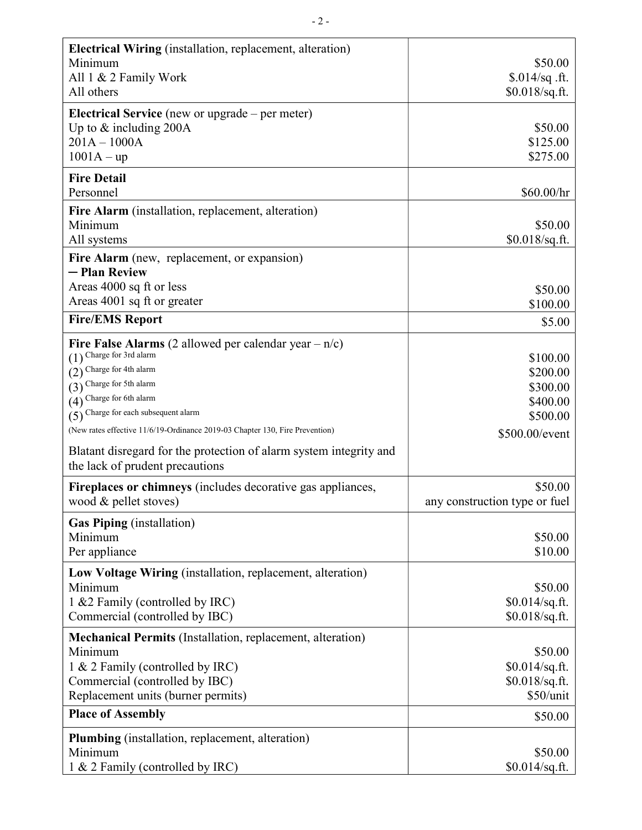| Electrical Wiring (installation, replacement, alteration)                                             |                               |
|-------------------------------------------------------------------------------------------------------|-------------------------------|
| Minimum                                                                                               | \$50.00                       |
| All 1 & 2 Family Work                                                                                 | $$.014/sq$ .ft.               |
| All others                                                                                            | $$0.018$ /sq.ft.              |
| <b>Electrical Service</b> (new or upgrade $-$ per meter)                                              |                               |
| Up to $&$ including 200A                                                                              | \$50.00                       |
| $201A - 1000A$                                                                                        | \$125.00                      |
| $1001A - up$                                                                                          | \$275.00                      |
| <b>Fire Detail</b>                                                                                    |                               |
| Personnel                                                                                             | \$60.00/hr                    |
| Fire Alarm (installation, replacement, alteration)                                                    |                               |
| Minimum                                                                                               | \$50.00                       |
| All systems                                                                                           | $$0.018$ /sq.ft.              |
| Fire Alarm (new, replacement, or expansion)                                                           |                               |
| - Plan Review                                                                                         |                               |
| Areas 4000 sq ft or less<br>Areas 4001 sq ft or greater                                               | \$50.00                       |
|                                                                                                       | \$100.00                      |
| <b>Fire/EMS Report</b>                                                                                | \$5.00                        |
| Fire False Alarms (2 allowed per calendar year $-n/c$ )                                               |                               |
| $(1)$ Charge for 3rd alarm                                                                            | \$100.00                      |
| (2) Charge for 4th alarm                                                                              | \$200.00                      |
| $(3)$ Charge for 5th alarm                                                                            | \$300.00                      |
| (4) Charge for 6th alarm                                                                              | \$400.00                      |
| $(5)$ Charge for each subsequent alarm                                                                | \$500.00                      |
| (New rates effective 11/6/19-Ordinance 2019-03 Chapter 130, Fire Prevention)                          | \$500.00/event                |
| Blatant disregard for the protection of alarm system integrity and<br>the lack of prudent precautions |                               |
|                                                                                                       |                               |
| Fireplaces or chimneys (includes decorative gas appliances,                                           | \$50.00                       |
| wood & pellet stoves)                                                                                 | any construction type or fuel |
| <b>Gas Piping</b> (installation)                                                                      |                               |
| Minimum                                                                                               | \$50.00                       |
| Per appliance                                                                                         | \$10.00                       |
| Low Voltage Wiring (installation, replacement, alteration)                                            |                               |
| Minimum                                                                                               | \$50.00                       |
| 1 & 2 Family (controlled by IRC)                                                                      | $$0.014$ /sq.ft.              |
| Commercial (controlled by IBC)                                                                        | $$0.018$ /sq.ft.              |
| <b>Mechanical Permits</b> (Installation, replacement, alteration)                                     |                               |
| Minimum                                                                                               | \$50.00                       |
| 1 & 2 Family (controlled by IRC)                                                                      | $$0.014$ /sq.ft.              |
| Commercial (controlled by IBC)                                                                        | $$0.018$ /sq.ft.              |
| Replacement units (burner permits)                                                                    | \$50/unit                     |
| <b>Place of Assembly</b>                                                                              | \$50.00                       |
| <b>Plumbing</b> (installation, replacement, alteration)                                               |                               |
| Minimum                                                                                               | \$50.00                       |
| 1 & 2 Family (controlled by IRC)                                                                      | \$0.014/sq.ft.                |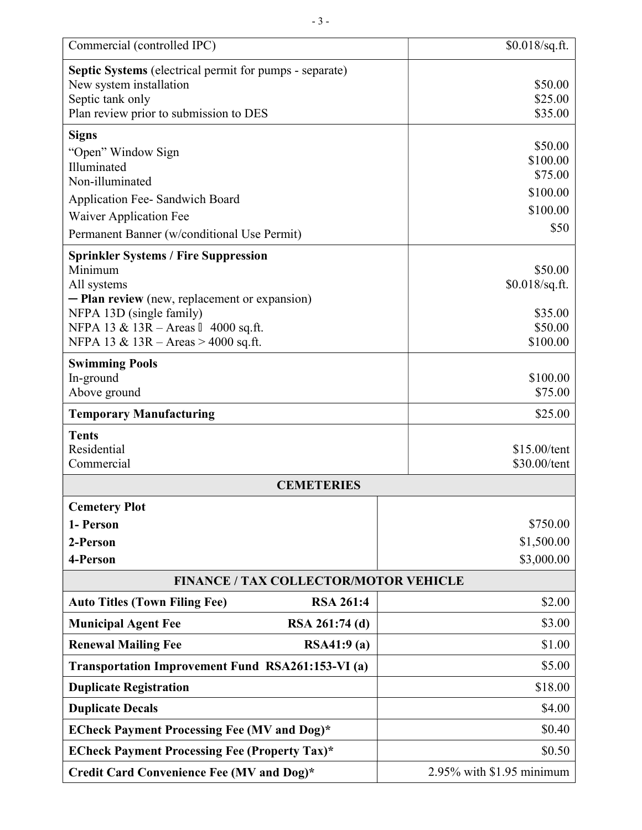| Commercial (controlled IPC)                                    |                                     | $$0.018$ /sq.ft.             |  |
|----------------------------------------------------------------|-------------------------------------|------------------------------|--|
| <b>Septic Systems</b> (electrical permit for pumps - separate) |                                     |                              |  |
| New system installation                                        |                                     | \$50.00                      |  |
| Septic tank only                                               |                                     | \$25.00                      |  |
| Plan review prior to submission to DES                         |                                     | \$35.00                      |  |
| <b>Signs</b>                                                   |                                     | \$50.00                      |  |
| "Open" Window Sign<br>Illuminated                              |                                     | \$100.00                     |  |
| Non-illuminated                                                |                                     | \$75.00                      |  |
| Application Fee- Sandwich Board                                |                                     | \$100.00                     |  |
| Waiver Application Fee                                         |                                     | \$100.00                     |  |
| Permanent Banner (w/conditional Use Permit)                    |                                     | \$50                         |  |
| <b>Sprinkler Systems / Fire Suppression</b>                    |                                     |                              |  |
| Minimum                                                        |                                     | \$50.00                      |  |
| All systems<br>- Plan review (new, replacement or expansion)   |                                     | \$0.018/sq.ft.               |  |
| NFPA 13D (single family)                                       |                                     | \$35.00                      |  |
| NFPA 13 & 13R – Areas Ⅱ 4000 sq.ft.                            |                                     | \$50.00<br>\$100.00          |  |
|                                                                | NFPA 13 & 13R - Areas > 4000 sq.ft. |                              |  |
| <b>Swimming Pools</b>                                          |                                     |                              |  |
| In-ground                                                      |                                     | \$100.00<br>\$75.00          |  |
| Above ground                                                   |                                     |                              |  |
| <b>Temporary Manufacturing</b>                                 |                                     | \$25.00                      |  |
| <b>Tents</b><br>Residential                                    |                                     |                              |  |
| Commercial                                                     |                                     | \$15.00/tent<br>\$30.00/tent |  |
| <b>CEMETERIES</b>                                              |                                     |                              |  |
| <b>Cemetery Plot</b>                                           |                                     |                              |  |
| 1- Person                                                      |                                     | \$750.00                     |  |
| 2-Person                                                       |                                     | \$1,500.00                   |  |
| 4-Person                                                       |                                     | \$3,000.00                   |  |
| <b>FINANCE / TAX COLLECTOR/MOTOR VEHICLE</b>                   |                                     |                              |  |
| <b>Auto Titles (Town Filing Fee)</b><br><b>RSA 261:4</b>       |                                     | \$2.00                       |  |
| <b>Municipal Agent Fee</b><br>RSA 261:74 (d)                   |                                     | \$3.00                       |  |
| RSA41:9(a)<br><b>Renewal Mailing Fee</b>                       |                                     | \$1.00                       |  |
| Transportation Improvement Fund RSA261:153-VI (a)              |                                     | \$5.00                       |  |
| <b>Duplicate Registration</b>                                  |                                     | \$18.00                      |  |
| <b>Duplicate Decals</b>                                        |                                     | \$4.00                       |  |
| <b>ECheck Payment Processing Fee (MV and Dog)*</b>             |                                     | \$0.40                       |  |
| <b>ECheck Payment Processing Fee (Property Tax)*</b>           |                                     | \$0.50                       |  |
| Credit Card Convenience Fee (MV and Dog)*                      |                                     | 2.95% with \$1.95 minimum    |  |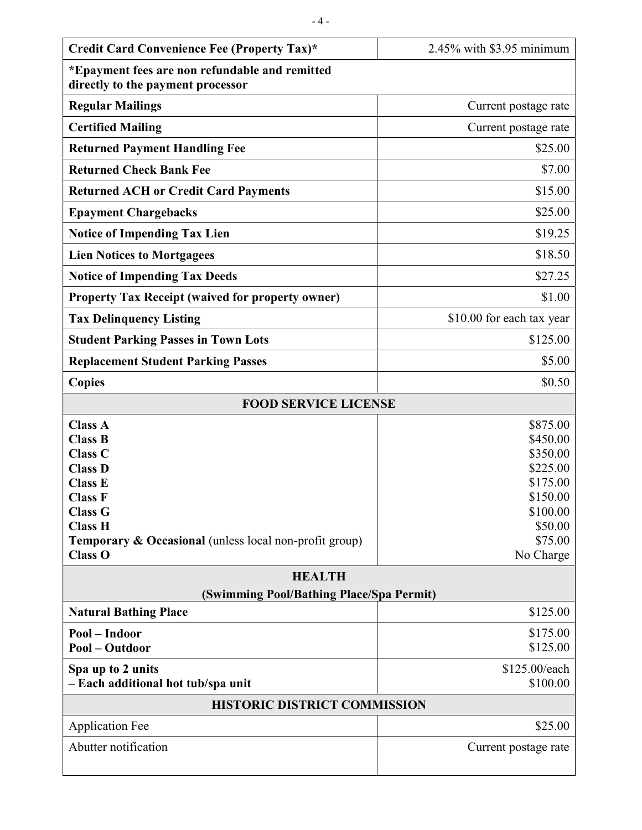| Credit Card Convenience Fee (Property Tax)*                                                                                                                                                                                         | 2.45% with \$3.95 minimum                                                                                           |  |
|-------------------------------------------------------------------------------------------------------------------------------------------------------------------------------------------------------------------------------------|---------------------------------------------------------------------------------------------------------------------|--|
| *Epayment fees are non refundable and remitted<br>directly to the payment processor                                                                                                                                                 |                                                                                                                     |  |
| <b>Regular Mailings</b>                                                                                                                                                                                                             | Current postage rate                                                                                                |  |
| <b>Certified Mailing</b>                                                                                                                                                                                                            | Current postage rate                                                                                                |  |
| <b>Returned Payment Handling Fee</b>                                                                                                                                                                                                | \$25.00                                                                                                             |  |
| <b>Returned Check Bank Fee</b>                                                                                                                                                                                                      | \$7.00                                                                                                              |  |
| <b>Returned ACH or Credit Card Payments</b>                                                                                                                                                                                         | \$15.00                                                                                                             |  |
| <b>Epayment Chargebacks</b>                                                                                                                                                                                                         | \$25.00                                                                                                             |  |
| <b>Notice of Impending Tax Lien</b>                                                                                                                                                                                                 | \$19.25                                                                                                             |  |
| <b>Lien Notices to Mortgagees</b>                                                                                                                                                                                                   | \$18.50                                                                                                             |  |
| <b>Notice of Impending Tax Deeds</b>                                                                                                                                                                                                | \$27.25                                                                                                             |  |
| <b>Property Tax Receipt (waived for property owner)</b>                                                                                                                                                                             | \$1.00                                                                                                              |  |
| <b>Tax Delinquency Listing</b>                                                                                                                                                                                                      | \$10.00 for each tax year                                                                                           |  |
| <b>Student Parking Passes in Town Lots</b>                                                                                                                                                                                          | \$125.00                                                                                                            |  |
| <b>Replacement Student Parking Passes</b>                                                                                                                                                                                           | \$5.00                                                                                                              |  |
| <b>Copies</b>                                                                                                                                                                                                                       | \$0.50                                                                                                              |  |
| <b>FOOD SERVICE LICENSE</b>                                                                                                                                                                                                         |                                                                                                                     |  |
| <b>Class A</b><br><b>Class B</b><br><b>Class C</b><br><b>Class D</b><br><b>Class E</b><br><b>Class F</b><br><b>Class G</b><br><b>Class H</b><br><b>Temporary &amp; Occasional</b> (unless local non-profit group)<br><b>Class O</b> | \$875.00<br>\$450.00<br>\$350.00<br>\$225.00<br>\$175.00<br>\$150.00<br>\$100.00<br>\$50.00<br>\$75.00<br>No Charge |  |
| <b>HEALTH</b><br>(Swimming Pool/Bathing Place/Spa Permit)                                                                                                                                                                           |                                                                                                                     |  |
| <b>Natural Bathing Place</b>                                                                                                                                                                                                        | \$125.00                                                                                                            |  |
| Pool - Indoor<br>Pool - Outdoor                                                                                                                                                                                                     | \$175.00<br>\$125.00                                                                                                |  |
| Spa up to 2 units<br>- Each additional hot tub/spa unit                                                                                                                                                                             | \$125.00/each<br>\$100.00                                                                                           |  |
| <b>HISTORIC DISTRICT COMMISSION</b>                                                                                                                                                                                                 |                                                                                                                     |  |
| <b>Application Fee</b>                                                                                                                                                                                                              | \$25.00                                                                                                             |  |
| Abutter notification                                                                                                                                                                                                                | Current postage rate                                                                                                |  |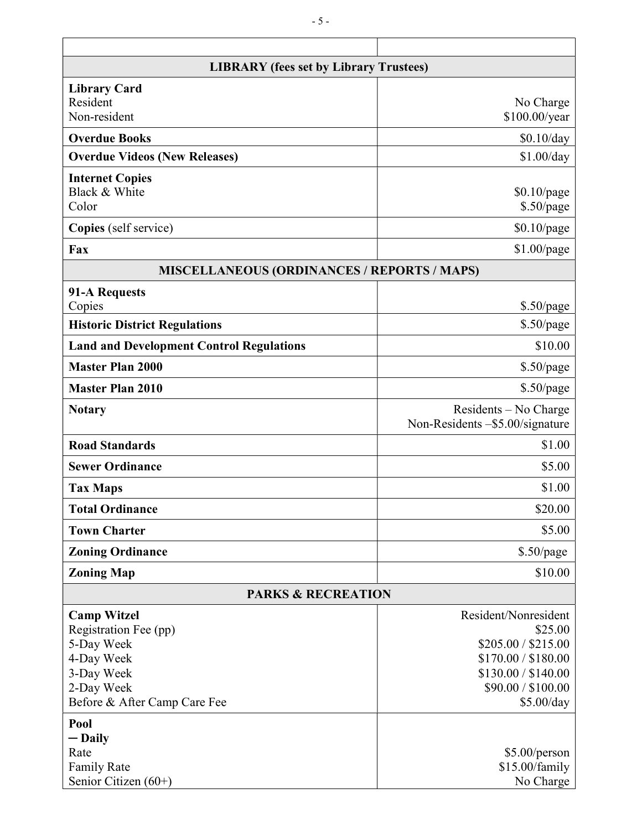| <b>LIBRARY</b> (fees set by Library Trustees)      |                                                          |  |
|----------------------------------------------------|----------------------------------------------------------|--|
| <b>Library Card</b>                                |                                                          |  |
| Resident                                           | No Charge                                                |  |
| Non-resident                                       | \$100.00/year                                            |  |
| <b>Overdue Books</b>                               | \$0.10/day                                               |  |
| <b>Overdue Videos (New Releases)</b>               | \$1.00/day                                               |  |
| <b>Internet Copies</b>                             |                                                          |  |
| Black & White                                      | $$0.10$ /page                                            |  |
| Color                                              | \$.50/page                                               |  |
| Copies (self service)                              | $$0.10$ /page                                            |  |
| Fax                                                | $$1.00$ /page                                            |  |
| <b>MISCELLANEOUS (ORDINANCES / REPORTS / MAPS)</b> |                                                          |  |
| 91-A Requests                                      |                                                          |  |
| Copies                                             | $$.50$ /page                                             |  |
| <b>Historic District Regulations</b>               | $$.50$ /page                                             |  |
| <b>Land and Development Control Regulations</b>    | \$10.00                                                  |  |
| <b>Master Plan 2000</b>                            | $$.50$ /page                                             |  |
| <b>Master Plan 2010</b>                            | $$.50$ /page                                             |  |
| <b>Notary</b>                                      | Residents – No Charge<br>Non-Residents -\$5.00/signature |  |
| <b>Road Standards</b>                              | \$1.00                                                   |  |
| <b>Sewer Ordinance</b>                             | \$5.00                                                   |  |
| <b>Tax Maps</b>                                    | \$1.00                                                   |  |
| <b>Total Ordinance</b>                             | \$20.00                                                  |  |
| <b>Town Charter</b>                                | \$5.00                                                   |  |
| <b>Zoning Ordinance</b>                            | $\$.50$ page                                             |  |
| <b>Zoning Map</b>                                  | \$10.00                                                  |  |
| <b>PARKS &amp; RECREATION</b>                      |                                                          |  |
| <b>Camp Witzel</b>                                 | Resident/Nonresident                                     |  |
| Registration Fee (pp)                              | \$25.00                                                  |  |
| 5-Day Week                                         | \$205.00 / \$215.00                                      |  |
| 4-Day Week                                         | \$170.00 / \$180.00                                      |  |
| 3-Day Week                                         | \$130.00 / \$140.00                                      |  |
| 2-Day Week                                         | \$90.00 / \$100.00                                       |  |
| Before & After Camp Care Fee                       | \$5.00/day                                               |  |
| Pool                                               |                                                          |  |
| $-\mathbf{Daily}$                                  |                                                          |  |
| Rate<br><b>Family Rate</b>                         | \$5.00/person<br>\$15.00/family                          |  |
| Senior Citizen (60+)                               | No Charge                                                |  |
|                                                    |                                                          |  |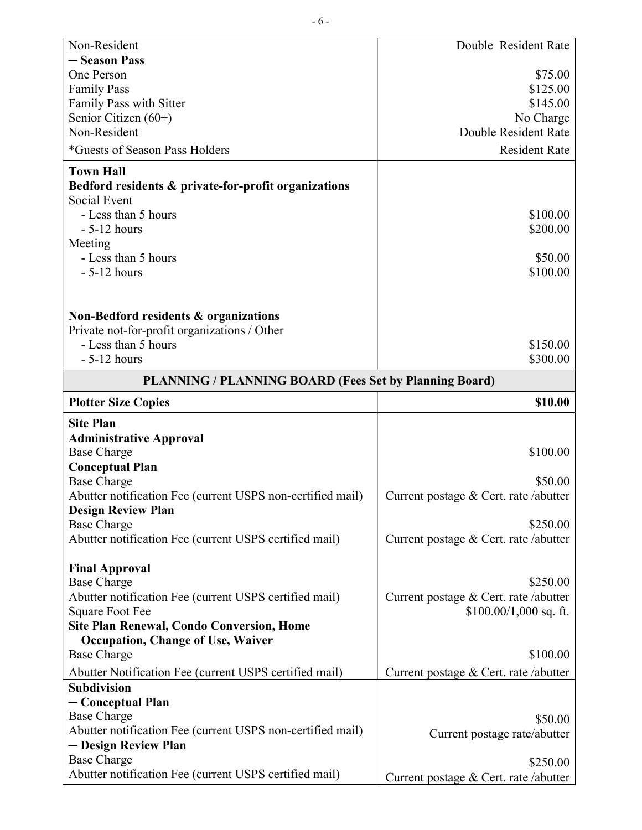| Non-Resident                                                                 | Double Resident Rate                              |
|------------------------------------------------------------------------------|---------------------------------------------------|
| - Season Pass                                                                |                                                   |
| One Person                                                                   | \$75.00                                           |
| <b>Family Pass</b>                                                           | \$125.00                                          |
| Family Pass with Sitter                                                      | \$145.00                                          |
| Senior Citizen $(60+)$                                                       | No Charge                                         |
| Non-Resident                                                                 | Double Resident Rate                              |
| <i>*</i> Guests of Season Pass Holders                                       | <b>Resident Rate</b>                              |
| <b>Town Hall</b>                                                             |                                                   |
| Bedford residents & private-for-profit organizations                         |                                                   |
| Social Event                                                                 |                                                   |
| - Less than 5 hours                                                          | \$100.00                                          |
| $-5-12$ hours                                                                | \$200.00                                          |
| Meeting                                                                      |                                                   |
| - Less than 5 hours                                                          | \$50.00                                           |
| $-5-12$ hours                                                                | \$100.00                                          |
|                                                                              |                                                   |
| Non-Bedford residents & organizations                                        |                                                   |
| Private not-for-profit organizations / Other                                 |                                                   |
| - Less than 5 hours                                                          | \$150.00                                          |
| $-5-12$ hours                                                                | \$300.00                                          |
| <b>PLANNING / PLANNING BOARD (Fees Set by Planning Board)</b>                |                                                   |
| <b>Plotter Size Copies</b>                                                   | \$10.00                                           |
|                                                                              |                                                   |
|                                                                              |                                                   |
| <b>Site Plan</b>                                                             |                                                   |
| <b>Administrative Approval</b>                                               |                                                   |
| <b>Base Charge</b>                                                           | \$100.00                                          |
| <b>Conceptual Plan</b>                                                       |                                                   |
| <b>Base Charge</b>                                                           | \$50.00                                           |
| Abutter notification Fee (current USPS non-certified mail)                   | Current postage & Cert. rate /abutter             |
| <b>Design Review Plan</b>                                                    |                                                   |
| <b>Base Charge</b>                                                           | \$250.00                                          |
| Abutter notification Fee (current USPS certified mail)                       | Current postage & Cert. rate /abutter             |
| <b>Final Approval</b>                                                        |                                                   |
| <b>Base Charge</b>                                                           | \$250.00                                          |
| Abutter notification Fee (current USPS certified mail)                       | Current postage & Cert. rate /abutter             |
| <b>Square Foot Fee</b>                                                       | $$100.00/1,000$ sq. ft.                           |
| <b>Site Plan Renewal, Condo Conversion, Home</b>                             |                                                   |
| <b>Occupation, Change of Use, Waiver</b>                                     |                                                   |
| <b>Base Charge</b>                                                           | \$100.00                                          |
| Abutter Notification Fee (current USPS certified mail)                       | Current postage & Cert. rate /abutter             |
| <b>Subdivision</b>                                                           |                                                   |
| - Conceptual Plan                                                            |                                                   |
| <b>Base Charge</b>                                                           | \$50.00                                           |
| Abutter notification Fee (current USPS non-certified mail)                   | Current postage rate/abutter                      |
| - Design Review Plan                                                         |                                                   |
| <b>Base Charge</b><br>Abutter notification Fee (current USPS certified mail) | \$250.00<br>Current postage & Cert. rate /abutter |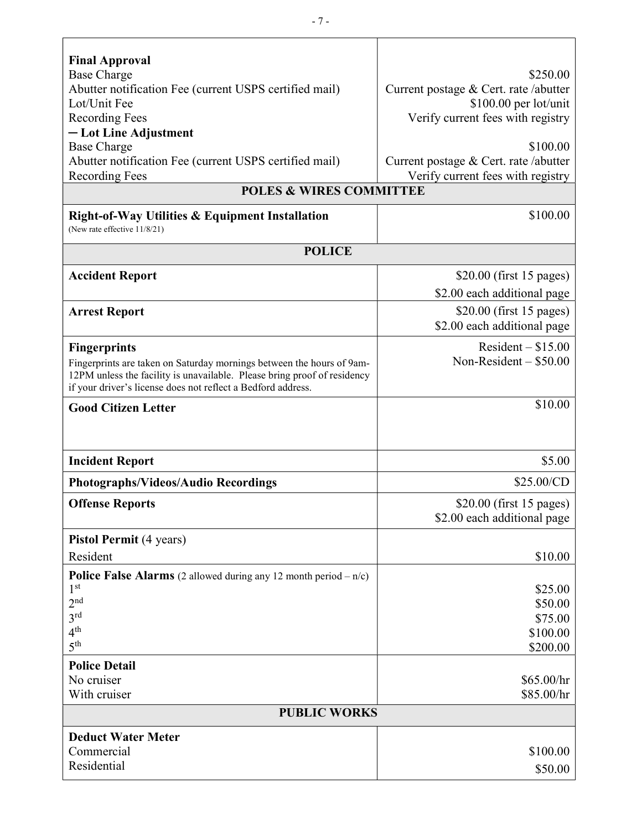| <b>Final Approval</b><br><b>Base Charge</b>                                                                                              | \$250.00                                                                   |  |
|------------------------------------------------------------------------------------------------------------------------------------------|----------------------------------------------------------------------------|--|
| Abutter notification Fee (current USPS certified mail)                                                                                   | Current postage & Cert. rate /abutter                                      |  |
| Lot/Unit Fee                                                                                                                             | \$100.00 per lot/unit                                                      |  |
| <b>Recording Fees</b>                                                                                                                    | Verify current fees with registry                                          |  |
| - Lot Line Adjustment                                                                                                                    |                                                                            |  |
| <b>Base Charge</b>                                                                                                                       | \$100.00                                                                   |  |
| Abutter notification Fee (current USPS certified mail)<br><b>Recording Fees</b>                                                          | Current postage & Cert. rate /abutter<br>Verify current fees with registry |  |
| <b>POLES &amp; WIRES COMMITTEE</b>                                                                                                       |                                                                            |  |
| <b>Right-of-Way Utilities &amp; Equipment Installation</b>                                                                               | \$100.00                                                                   |  |
| (New rate effective 11/8/21)                                                                                                             |                                                                            |  |
| <b>POLICE</b>                                                                                                                            |                                                                            |  |
| <b>Accident Report</b>                                                                                                                   | $$20.00$ (first 15 pages)                                                  |  |
|                                                                                                                                          | \$2.00 each additional page                                                |  |
| <b>Arrest Report</b>                                                                                                                     | $$20.00$ (first 15 pages)                                                  |  |
|                                                                                                                                          | \$2.00 each additional page                                                |  |
| <b>Fingerprints</b>                                                                                                                      | Resident $-$ \$15.00                                                       |  |
| Fingerprints are taken on Saturday mornings between the hours of 9am-                                                                    | Non-Resident $-$ \$50.00                                                   |  |
| 12PM unless the facility is unavailable. Please bring proof of residency<br>if your driver's license does not reflect a Bedford address. |                                                                            |  |
| <b>Good Citizen Letter</b>                                                                                                               | \$10.00                                                                    |  |
|                                                                                                                                          |                                                                            |  |
|                                                                                                                                          | \$5.00                                                                     |  |
| <b>Incident Report</b>                                                                                                                   |                                                                            |  |
| Photographs/Videos/Audio Recordings                                                                                                      | \$25.00/CD                                                                 |  |
| <b>Offense Reports</b>                                                                                                                   | $$20.00$ (first 15 pages)                                                  |  |
|                                                                                                                                          | \$2.00 each additional page                                                |  |
| <b>Pistol Permit</b> (4 years)                                                                                                           |                                                                            |  |
| Resident                                                                                                                                 | \$10.00                                                                    |  |
| <b>Police False Alarms</b> (2 allowed during any 12 month period $-n/c$ )                                                                |                                                                            |  |
| $1^{\rm st}$                                                                                                                             | \$25.00                                                                    |  |
| 2 <sup>nd</sup><br>3 <sup>rd</sup>                                                                                                       | \$50.00                                                                    |  |
| 4 <sup>th</sup>                                                                                                                          | \$75.00<br>\$100.00                                                        |  |
| 5 <sup>th</sup>                                                                                                                          | \$200.00                                                                   |  |
| <b>Police Detail</b>                                                                                                                     |                                                                            |  |
| No cruiser                                                                                                                               | \$65.00/hr                                                                 |  |
| With cruiser                                                                                                                             | \$85.00/hr                                                                 |  |
| <b>PUBLIC WORKS</b>                                                                                                                      |                                                                            |  |
| <b>Deduct Water Meter</b>                                                                                                                |                                                                            |  |
| Commercial                                                                                                                               | \$100.00                                                                   |  |
| Residential                                                                                                                              | \$50.00                                                                    |  |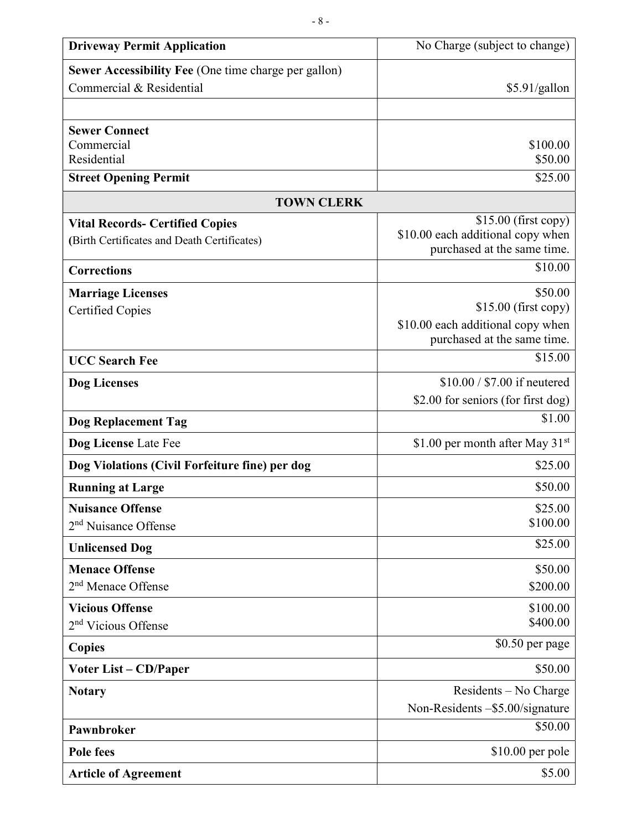| <b>Driveway Permit Application</b>                          | No Charge (subject to change)                                    |
|-------------------------------------------------------------|------------------------------------------------------------------|
| <b>Sewer Accessibility Fee (One time charge per gallon)</b> |                                                                  |
| Commercial & Residential                                    | \$5.91/gallon                                                    |
|                                                             |                                                                  |
| <b>Sewer Connect</b>                                        |                                                                  |
| Commercial                                                  | \$100.00                                                         |
| Residential                                                 | \$50.00                                                          |
| <b>Street Opening Permit</b>                                | \$25.00                                                          |
| <b>TOWN CLERK</b>                                           |                                                                  |
| <b>Vital Records- Certified Copies</b>                      | $$15.00$ (first copy)                                            |
| (Birth Certificates and Death Certificates)                 | \$10.00 each additional copy when<br>purchased at the same time. |
| <b>Corrections</b>                                          | \$10.00                                                          |
| <b>Marriage Licenses</b>                                    | \$50.00                                                          |
| <b>Certified Copies</b>                                     | $$15.00$ (first copy)                                            |
|                                                             | \$10.00 each additional copy when                                |
|                                                             | purchased at the same time.                                      |
| <b>UCC Search Fee</b>                                       | \$15.00                                                          |
| Dog Licenses                                                | \$10.00 / \$7.00 if neutered                                     |
|                                                             | \$2.00 for seniors (for first dog)                               |
| <b>Dog Replacement Tag</b>                                  | \$1.00                                                           |
| Dog License Late Fee                                        | \$1.00 per month after May $31st$                                |
| Dog Violations (Civil Forfeiture fine) per dog              | \$25.00                                                          |
| <b>Running at Large</b>                                     | \$50.00                                                          |
| <b>Nuisance Offense</b>                                     | \$25.00                                                          |
| 2 <sup>nd</sup> Nuisance Offense                            | \$100.00                                                         |
| <b>Unlicensed Dog</b>                                       | \$25.00                                                          |
| <b>Menace Offense</b>                                       | \$50.00                                                          |
| 2 <sup>nd</sup> Menace Offense                              | \$200.00                                                         |
| <b>Vicious Offense</b>                                      | \$100.00                                                         |
| 2 <sup>nd</sup> Vicious Offense                             | \$400.00                                                         |
| <b>Copies</b>                                               | \$0.50 per page                                                  |
| <b>Voter List – CD/Paper</b>                                | \$50.00                                                          |
| <b>Notary</b>                                               | Residents – No Charge                                            |
|                                                             | Non-Residents -\$5.00/signature                                  |
| Pawnbroker                                                  | \$50.00                                                          |
| Pole fees                                                   | \$10.00 per pole                                                 |
| <b>Article of Agreement</b>                                 | \$5.00                                                           |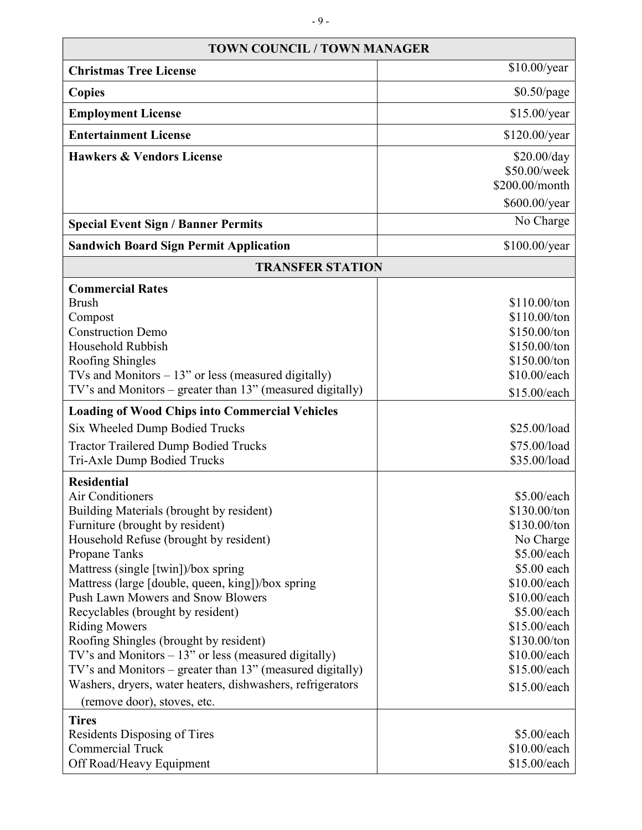| <b>TOWN COUNCIL / TOWN MANAGER</b>                                                                                  |                              |  |
|---------------------------------------------------------------------------------------------------------------------|------------------------------|--|
| <b>Christmas Tree License</b>                                                                                       | \$10.00/year                 |  |
| <b>Copies</b>                                                                                                       | \$0.50/page                  |  |
| <b>Employment License</b>                                                                                           | \$15.00/year                 |  |
| <b>Entertainment License</b>                                                                                        | \$120.00/year                |  |
| <b>Hawkers &amp; Vendors License</b>                                                                                | \$20.00/day                  |  |
|                                                                                                                     | \$50.00/week                 |  |
|                                                                                                                     | \$200.00/month               |  |
|                                                                                                                     | \$600.00/year                |  |
| <b>Special Event Sign / Banner Permits</b>                                                                          | No Charge                    |  |
| <b>Sandwich Board Sign Permit Application</b>                                                                       | \$100.00/year                |  |
| <b>TRANSFER STATION</b>                                                                                             |                              |  |
| <b>Commercial Rates</b>                                                                                             |                              |  |
| <b>Brush</b>                                                                                                        | \$110.00/ton                 |  |
| Compost                                                                                                             | \$110.00/ton                 |  |
| <b>Construction Demo</b>                                                                                            | \$150.00/ton                 |  |
| Household Rubbish                                                                                                   | \$150.00/ton                 |  |
| Roofing Shingles                                                                                                    | \$150.00/ton                 |  |
| TVs and Monitors $-13$ " or less (measured digitally)                                                               | \$10.00/each                 |  |
| TV's and Monitors – greater than 13" (measured digitally)                                                           | \$15.00/each                 |  |
| <b>Loading of Wood Chips into Commercial Vehicles</b>                                                               |                              |  |
| Six Wheeled Dump Bodied Trucks                                                                                      | \$25.00/load                 |  |
| <b>Tractor Trailered Dump Bodied Trucks</b>                                                                         | \$75.00/load                 |  |
| Tri-Axle Dump Bodied Trucks                                                                                         | \$35.00/load                 |  |
| <b>Residential</b>                                                                                                  |                              |  |
| <b>Air Conditioners</b>                                                                                             | \$5.00/each                  |  |
| Building Materials (brought by resident)                                                                            | \$130.00/ton                 |  |
| Furniture (brought by resident)                                                                                     | \$130.00/ton                 |  |
| Household Refuse (brought by resident)                                                                              | No Charge                    |  |
| Propane Tanks                                                                                                       | \$5.00/each                  |  |
| Mattress (single [twin])/box spring                                                                                 | \$5.00 each                  |  |
| Mattress (large [double, queen, king])/box spring                                                                   | \$10.00/each                 |  |
| Push Lawn Mowers and Snow Blowers                                                                                   | \$10.00/each                 |  |
| Recyclables (brought by resident)                                                                                   | \$5.00/each                  |  |
| <b>Riding Mowers</b><br>Roofing Shingles (brought by resident)                                                      | \$15.00/each<br>\$130.00/ton |  |
|                                                                                                                     | \$10.00/each                 |  |
| TV's and Monitors $-13$ " or less (measured digitally)<br>TV's and Monitors – greater than 13" (measured digitally) | \$15.00/each                 |  |
| Washers, dryers, water heaters, dishwashers, refrigerators                                                          |                              |  |
| (remove door), stoves, etc.                                                                                         | \$15.00/each                 |  |
| <b>Tires</b>                                                                                                        |                              |  |
| Residents Disposing of Tires                                                                                        | \$5.00/each                  |  |
| <b>Commercial Truck</b>                                                                                             | \$10.00/each                 |  |
| Off Road/Heavy Equipment                                                                                            | \$15.00/each                 |  |

┑